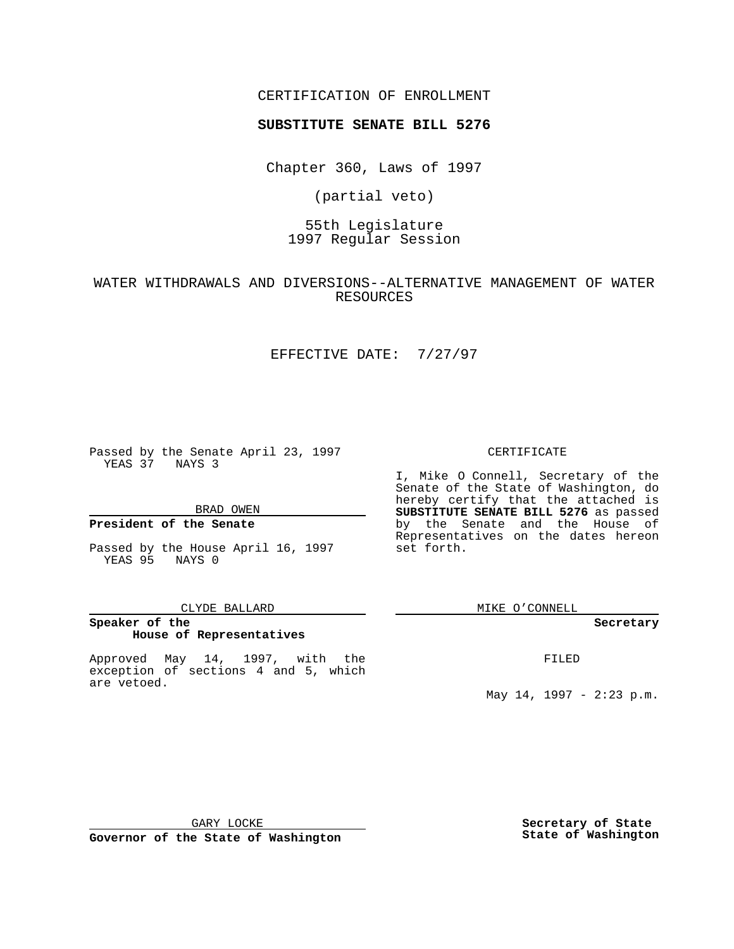### CERTIFICATION OF ENROLLMENT

# **SUBSTITUTE SENATE BILL 5276**

Chapter 360, Laws of 1997

(partial veto)

# 55th Legislature 1997 Regular Session

WATER WITHDRAWALS AND DIVERSIONS--ALTERNATIVE MANAGEMENT OF WATER RESOURCES

## EFFECTIVE DATE: 7/27/97

Passed by the Senate April 23, 1997 YEAS 37 NAYS 3

#### BRAD OWEN

### **President of the Senate**

Passed by the House April 16, 1997 YEAS 95 NAYS 0

#### CLYDE BALLARD

## **Speaker of the House of Representatives**

Approved May 14, 1997, with the exception of sections 4 and 5, which are vetoed.

#### CERTIFICATE

I, Mike O Connell, Secretary of the Senate of the State of Washington, do hereby certify that the attached is **SUBSTITUTE SENATE BILL 5276** as passed by the Senate and the House of Representatives on the dates hereon set forth.

MIKE O'CONNELL

#### **Secretary**

FILED

May 14, 1997 - 2:23 p.m.

GARY LOCKE

**Governor of the State of Washington**

**Secretary of State State of Washington**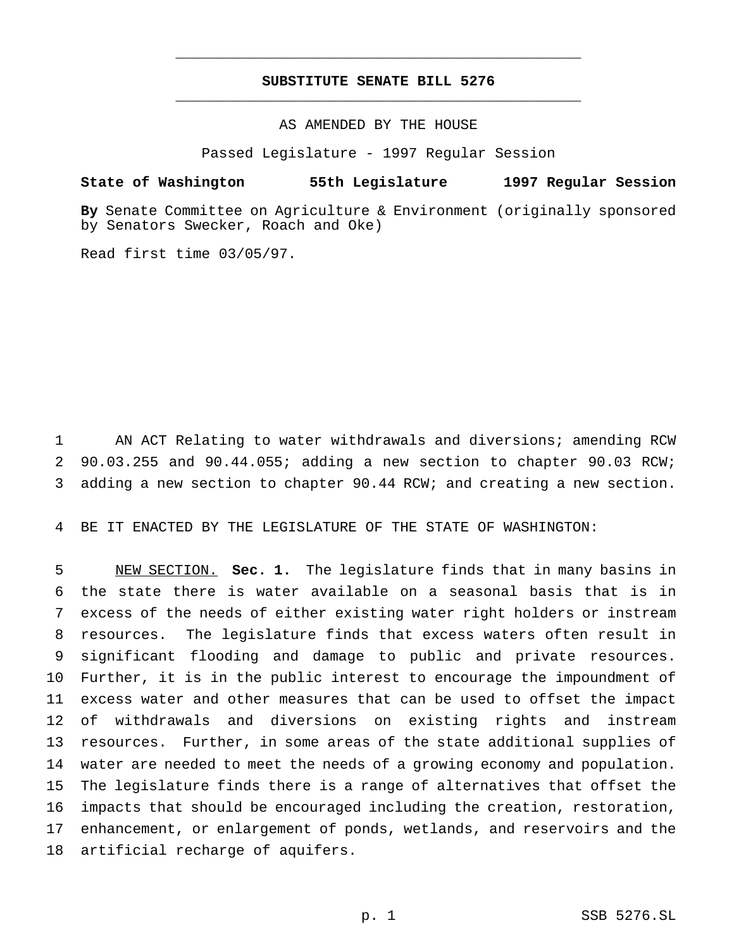## **SUBSTITUTE SENATE BILL 5276** \_\_\_\_\_\_\_\_\_\_\_\_\_\_\_\_\_\_\_\_\_\_\_\_\_\_\_\_\_\_\_\_\_\_\_\_\_\_\_\_\_\_\_\_\_\_\_

\_\_\_\_\_\_\_\_\_\_\_\_\_\_\_\_\_\_\_\_\_\_\_\_\_\_\_\_\_\_\_\_\_\_\_\_\_\_\_\_\_\_\_\_\_\_\_

### AS AMENDED BY THE HOUSE

Passed Legislature - 1997 Regular Session

### **State of Washington 55th Legislature 1997 Regular Session**

**By** Senate Committee on Agriculture & Environment (originally sponsored by Senators Swecker, Roach and Oke)

Read first time 03/05/97.

 AN ACT Relating to water withdrawals and diversions; amending RCW 90.03.255 and 90.44.055; adding a new section to chapter 90.03 RCW; adding a new section to chapter 90.44 RCW; and creating a new section.

BE IT ENACTED BY THE LEGISLATURE OF THE STATE OF WASHINGTON:

 NEW SECTION. **Sec. 1.** The legislature finds that in many basins in the state there is water available on a seasonal basis that is in excess of the needs of either existing water right holders or instream resources. The legislature finds that excess waters often result in significant flooding and damage to public and private resources. Further, it is in the public interest to encourage the impoundment of excess water and other measures that can be used to offset the impact of withdrawals and diversions on existing rights and instream resources. Further, in some areas of the state additional supplies of water are needed to meet the needs of a growing economy and population. The legislature finds there is a range of alternatives that offset the impacts that should be encouraged including the creation, restoration, enhancement, or enlargement of ponds, wetlands, and reservoirs and the artificial recharge of aquifers.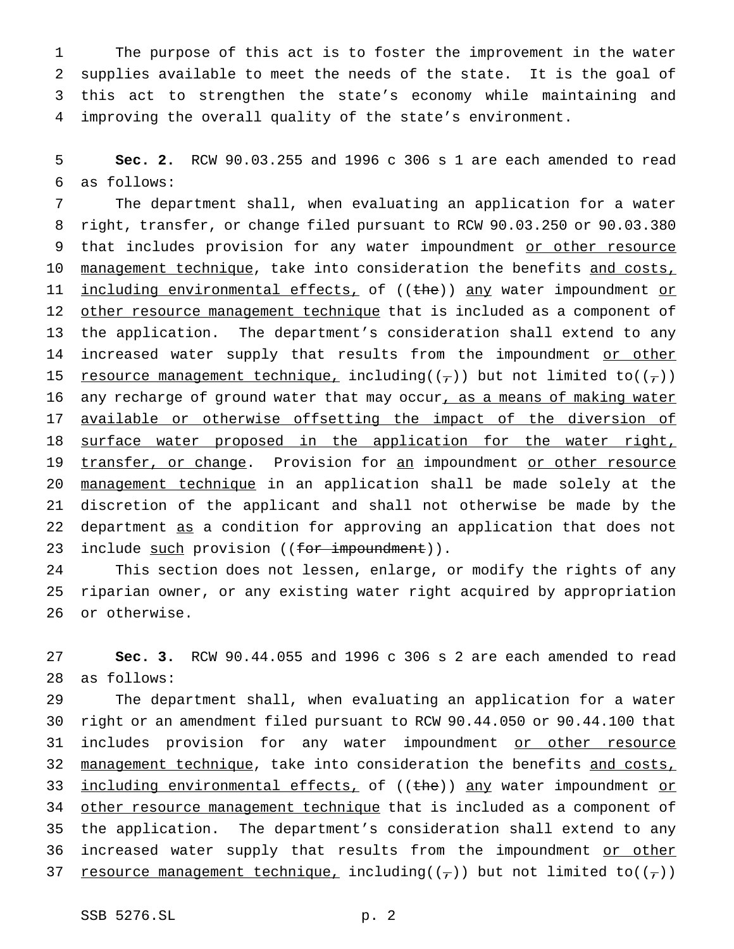The purpose of this act is to foster the improvement in the water supplies available to meet the needs of the state. It is the goal of this act to strengthen the state's economy while maintaining and improving the overall quality of the state's environment.

5 **Sec. 2.** RCW 90.03.255 and 1996 c 306 s 1 are each amended to read 6 as follows:

7 The department shall, when evaluating an application for a water 8 right, transfer, or change filed pursuant to RCW 90.03.250 or 90.03.380 9 that includes provision for any water impoundment or other resource 10 management technique, take into consideration the benefits and costs, 11 including environmental effects, of ((the)) any water impoundment or 12 other resource management technique that is included as a component of 13 the application. The department's consideration shall extend to any 14 increased water supply that results from the impoundment or other 15 resource management technique, including( $(\tau)$ ) but not limited to( $(\tau)$ ) 16 any recharge of ground water that may occur, as a means of making water 17 <u>available or otherwise offsetting the impact of the diversion of</u> 18 surface water proposed in the application for the water right, 19 transfer, or change. Provision for an impoundment or other resource 20 management technique in an application shall be made solely at the 21 discretion of the applicant and shall not otherwise be made by the 22 department as a condition for approving an application that does not 23 include such provision ((for impoundment)).

24 This section does not lessen, enlarge, or modify the rights of any 25 riparian owner, or any existing water right acquired by appropriation 26 or otherwise.

27 **Sec. 3.** RCW 90.44.055 and 1996 c 306 s 2 are each amended to read 28 as follows:

29 The department shall, when evaluating an application for a water 30 right or an amendment filed pursuant to RCW 90.44.050 or 90.44.100 that 31 includes provision for any water impoundment or other resource 32 management technique, take into consideration the benefits and costs, 33 including environmental effects, of ((the)) any water impoundment or 34 other resource management technique that is included as a component of 35 the application. The department's consideration shall extend to any 36 increased water supply that results from the impoundment or other 37 resource management technique, including( $(\tau)$ ) but not limited to( $(\tau)$ )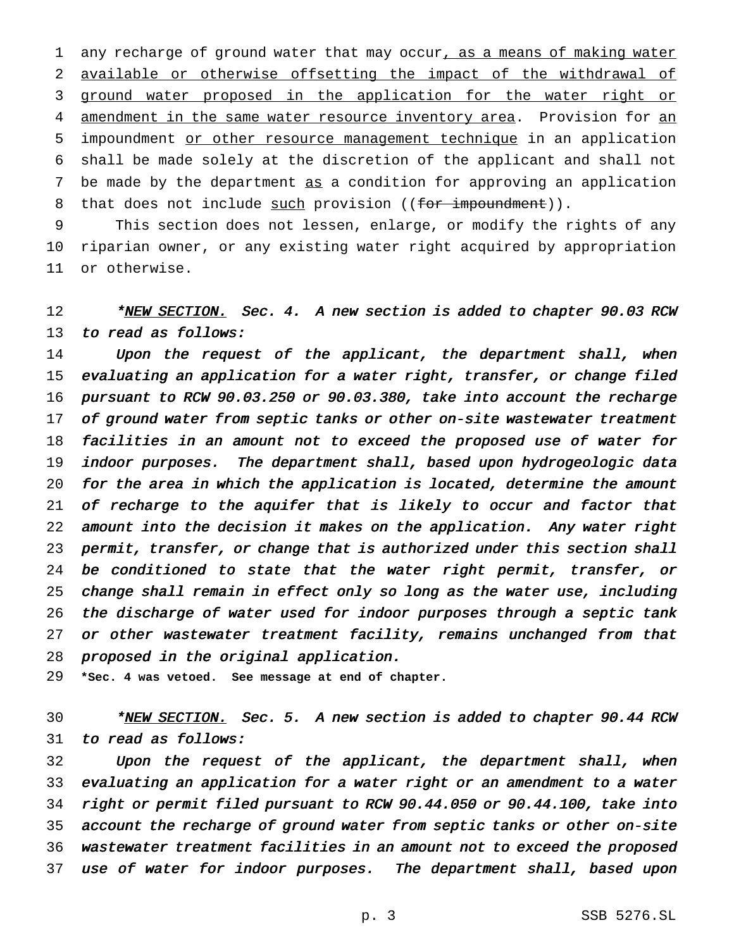1 any recharge of ground water that may occur, as a means of making water available or otherwise offsetting the impact of the withdrawal of ground water proposed in the application for the water right or 4 amendment in the same water resource inventory area. Provision for an impoundment or other resource management technique in an application shall be made solely at the discretion of the applicant and shall not be made by the department as a condition for approving an application 8 that does not include such provision ((for impoundment)).

 This section does not lessen, enlarge, or modify the rights of any riparian owner, or any existing water right acquired by appropriation or otherwise.

12 \*NEW SECTION. Sec. 4. A new section is added to chapter 90.03 RCW 13 to read as follows:

14 Upon the request of the applicant, the department shall, when evaluating an application for <sup>a</sup> water right, transfer, or change filed pursuant to RCW 90.03.250 or 90.03.380, take into account the recharge 17 of ground water from septic tanks or other on-site wastewater treatment facilities in an amount not to exceed the proposed use of water for indoor purposes. The department shall, based upon hydrogeologic data for the area in which the application is located, determine the amount 21 of recharge to the aquifer that is likely to occur and factor that amount into the decision it makes on the application. Any water right permit, transfer, or change that is authorized under this section shall 24 be conditioned to state that the water right permit, transfer, or change shall remain in effect only so long as the water use, including the discharge of water used for indoor purposes through <sup>a</sup> septic tank 27 or other wastewater treatment facility, remains unchanged from that proposed in the original application.

**\*Sec. 4 was vetoed. See message at end of chapter.**

30 \*NEW SECTION. Sec. 5. A new section is added to chapter 90.44 RCW to read as follows:

 Upon the request of the applicant, the department shall, when evaluating an application for <sup>a</sup> water right or an amendment to <sup>a</sup> water right or permit filed pursuant to RCW 90.44.050 or 90.44.100, take into account the recharge of ground water from septic tanks or other on-site wastewater treatment facilities in an amount not to exceed the proposed use of water for indoor purposes. The department shall, based upon